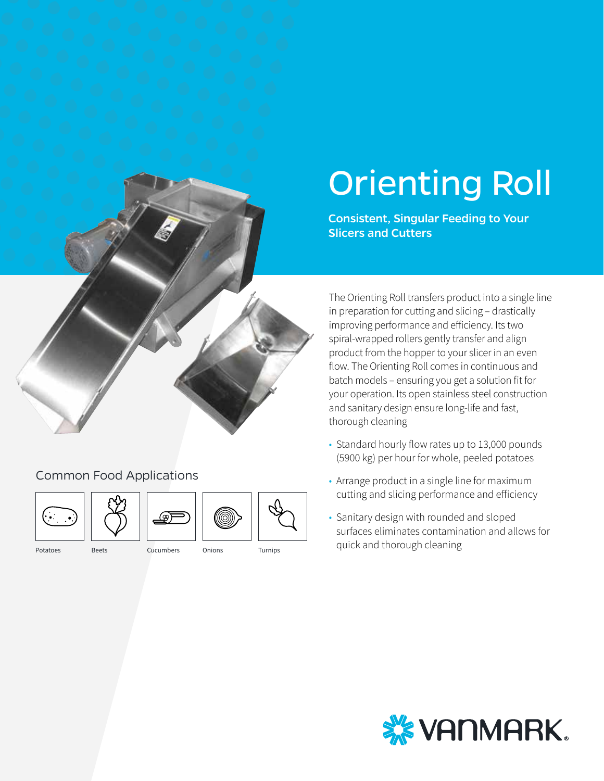

### Common Food Applications





Potatoes Beets Cucumbers Onions Turnips



Consistent, Singular Feeding to Your

Orienting Roll

The Orienting Roll transfers product into a single line in preparation for cutting and slicing – drastically improving performance and efficiency. Its two spiral-wrapped rollers gently transfer and align product from the hopper to your slicer in an even flow. The Orienting Roll comes in continuous and batch models – ensuring you get a solution fit for your operation. Its open stainless steel construction and sanitary design ensure long-life and fast, thorough cleaning

- Standard hourly flow rates up to 13,000 pounds (5900 kg) per hour for whole, peeled potatoes
- Arrange product in a single line for maximum cutting and slicing performance and efficiency
- Sanitary design with rounded and sloped surfaces eliminates contamination and allows for quick and thorough cleaning